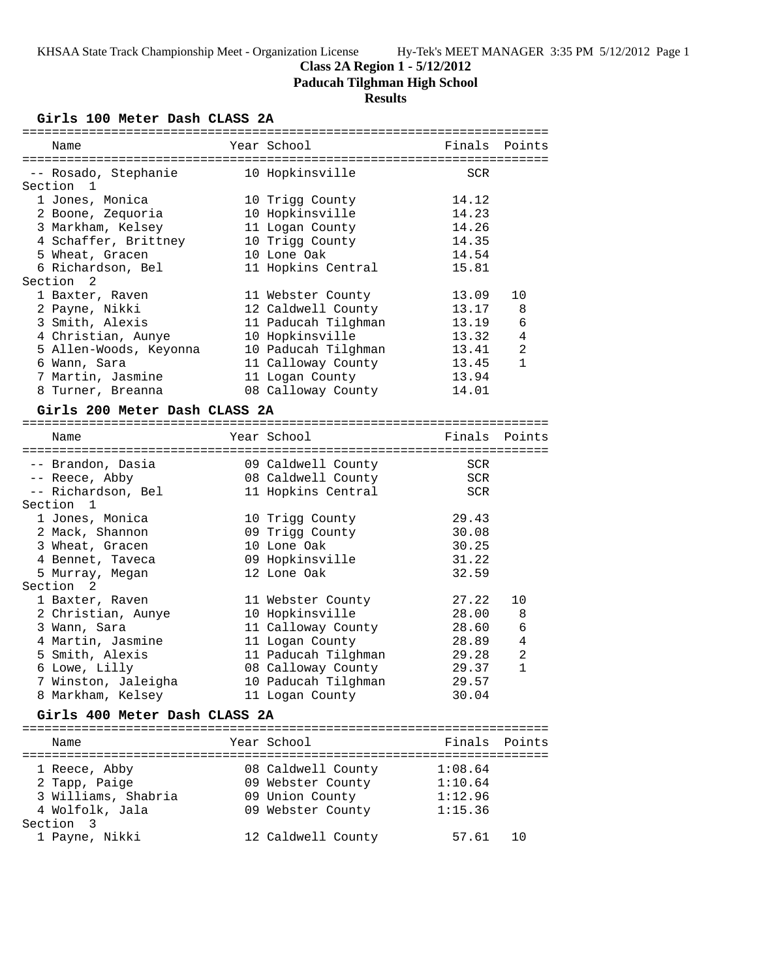## **Class 2A Region 1 - 5/12/2012**

**Paducah Tilghman High School**

## **Results**

**Girls 100 Meter Dash CLASS 2A**

| Name                          | Year School         | Finals Points |                |
|-------------------------------|---------------------|---------------|----------------|
| -- Rosado, Stephanie          | 10 Hopkinsville     | <b>SCR</b>    |                |
| Section 1                     |                     |               |                |
| 1 Jones, Monica               | 10 Trigg County     | 14.12         |                |
| 2 Boone, Zequoria             | 10 Hopkinsville     | 14.23         |                |
| 3 Markham, Kelsey             | 11 Logan County     | 14.26         |                |
| 4 Schaffer, Brittney          | 10 Trigg County     | 14.35         |                |
| 5 Wheat, Gracen               | 10 Lone Oak         | 14.54         |                |
| 6 Richardson, Bel             | 11 Hopkins Central  | 15.81         |                |
| Section <sub>2</sub>          |                     |               |                |
| 1 Baxter, Raven               | 11 Webster County   | 13.09         | 10             |
| 2 Payne, Nikki                | 12 Caldwell County  | 13.17         | 8              |
| 3 Smith, Alexis               | 11 Paducah Tilghman | 13.19         | 6              |
| 4 Christian, Aunye            | 10 Hopkinsville     | 13.32         | $\overline{4}$ |
| 5 Allen-Woods, Keyonna        | 10 Paducah Tilghman | 13.41         | 2              |
| 6 Wann, Sara                  | 11 Calloway County  | 13.45         | $\mathbf{1}$   |
| 7 Martin, Jasmine             | 11 Logan County     | 13.94         |                |
| 8 Turner, Breanna             | 08 Calloway County  | 14.01         |                |
| Girls 200 Meter Dash CLASS 2A |                     |               |                |
|                               | .                   |               |                |

| Name                          | Year School         | Finals | Points         |
|-------------------------------|---------------------|--------|----------------|
|                               |                     |        |                |
| -- Brandon, Dasia             | 09 Caldwell County  | SCR    |                |
| -- Reece, Abby                | 08 Caldwell County  | SCR    |                |
| -- Richardson, Bel            | 11 Hopkins Central  | SCR    |                |
| Section 1                     |                     |        |                |
| 1 Jones, Monica               | 10 Trigg County     | 29.43  |                |
| 2 Mack, Shannon               | 09 Trigg County     | 30.08  |                |
| 3 Wheat, Gracen               | 10 Lone Oak         | 30.25  |                |
| 4 Bennet, Taveca              | 09 Hopkinsville     | 31.22  |                |
| 5 Murray, Megan               | 12 Lone Oak         | 32.59  |                |
| Section <sub>2</sub>          |                     |        |                |
| 1 Baxter, Raven               | 11 Webster County   | 27.22  | 10             |
| 2 Christian, Aunye            | 10 Hopkinsville     | 28.00  | 8              |
| 3 Wann, Sara                  | 11 Calloway County  | 28.60  | 6              |
| 4 Martin, Jasmine             | 11 Logan County     | 28.89  | $\overline{4}$ |
| 5 Smith, Alexis               | 11 Paducah Tilghman | 29.28  | $\overline{2}$ |
| 6 Lowe, Lilly                 | 08 Calloway County  | 29.37  | $\mathbf{1}$   |
| 7 Winston, Jaleigha           | 10 Paducah Tilghman | 29.57  |                |
| 8 Markham, Kelsey             | 11 Logan County     | 30.04  |                |
| Girls 400 Meter Dash CLASS 2A |                     |        |                |
|                               |                     |        |                |

======================================================================= Name Year School Finals Points ======================================================================= 1 Reece, Abby 08 Caldwell County 1:08.64 2 Tapp, Paige 09 Webster County 1:10.64 3 Williams, Shabria 09 Union County 1:12.96 4 Wolfolk, Jala 09 Webster County 1:15.36 Section 3 1 Payne, Nikki 12 Caldwell County 57.61 10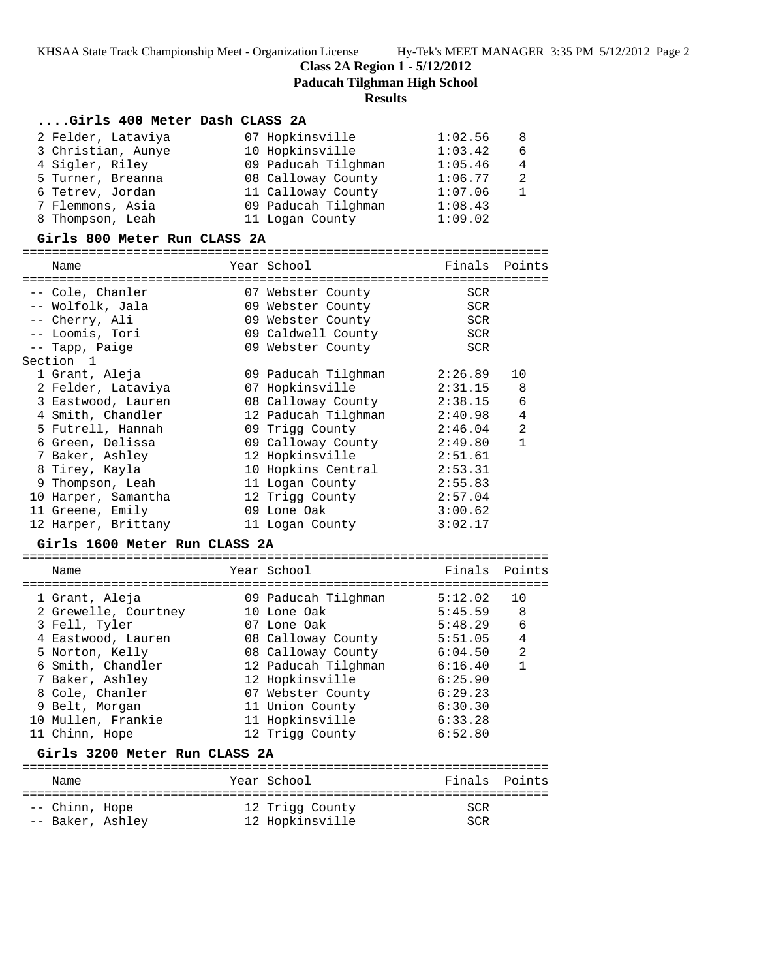**Class 2A Region 1 - 5/12/2012**

**Paducah Tilghman High School**

#### **Results**

#### **....Girls 400 Meter Dash CLASS 2A**

| 2 Felder, Lataviya | 07 Hopkinsville     | 1:02.56 | -8  |
|--------------------|---------------------|---------|-----|
| 3 Christian, Aunye | 10 Hopkinsville     | 1:03.42 | - 6 |
| 4 Sigler, Riley    | 09 Paducah Tilghman | 1:05.46 | 4   |
| 5 Turner, Breanna  | 08 Calloway County  | 1:06.77 | 2   |
| 6 Tetrev, Jordan   | 11 Calloway County  | 1:07.06 |     |
| 7 Flemmons, Asia   | 09 Paducah Tilghman | 1:08.43 |     |
| 8 Thompson, Leah   | 11 Logan County     | 1:09.02 |     |

#### **Girls 800 Meter Run CLASS 2A**

======================================================================= Year School Finals Points ======================================================================= -- Cole, Chanler 07 Webster County SCR -- Wolfolk, Jala 09 Webster County SCR -- Cherry, Ali 09 Webster County SCR -- Loomis, Tori 09 Caldwell County SCR -- Tapp, Paige 69 Webster County SCR Section 1 1 Grant, Aleja 09 Paducah Tilghman 2:26.89 10 2 Felder, Lataviya 07 Hopkinsville 2:31.15 8 3 Eastwood, Lauren 08 Calloway County 2:38.15 6 4 Smith, Chandler 12 Paducah Tilghman 2:40.98 4 5 Futrell, Hannah 09 Trigg County 2:46.04 2 6 Green, Delissa 09 Calloway County 2:49.80 1 7 Baker, Ashley 12 Hopkinsville 2:51.61 8 Tirey, Kayla 10 Hopkins Central 2:53.31 9 Thompson, Leah 11 Logan County 2:55.83 10 Harper, Samantha 12 Trigg County 2:57.04 11 Greene, Emily 09 Lone Oak 3:00.62 12 Harper, Brittany 11 Logan County 3:02.17

## **Girls 1600 Meter Run CLASS 2A**

| Name                                                                                                                                 |  | Year School                                                                                                                                | Finals Points                                                             |                                 |  |  |
|--------------------------------------------------------------------------------------------------------------------------------------|--|--------------------------------------------------------------------------------------------------------------------------------------------|---------------------------------------------------------------------------|---------------------------------|--|--|
| 1 Grant, Aleja<br>2 Grewelle, Courtney<br>3 Fell, Tyler<br>4 Eastwood, Lauren                                                        |  | 09 Paducah Tilghman<br>10 Lone Oak<br>07 Lone Oak<br>08 Calloway County                                                                    | 5:12.02<br>5:45.59<br>5:48.29<br>5:51.05                                  | 10<br>-8<br>6<br>$\overline{4}$ |  |  |
| 5 Norton, Kelly<br>6 Smith, Chandler<br>7 Baker, Ashley<br>8 Cole, Chanler<br>9 Belt, Morgan<br>10 Mullen, Frankie<br>11 Chinn, Hope |  | 08 Calloway County<br>12 Paducah Tilghman<br>12 Hopkinsville<br>07 Webster County<br>11 Union County<br>11 Hopkinsville<br>12 Trigg County | 6:04.50<br>6:16.40<br>6:25.90<br>6:29.23<br>6:30.30<br>6:33.28<br>6:52.80 | 2<br>$\mathbf{1}$               |  |  |
| Girls 3200 Meter Run CLASS 2A                                                                                                        |  |                                                                                                                                            |                                                                           |                                 |  |  |
| Name                                                                                                                                 |  | Year School                                                                                                                                | Finals                                                                    | Points                          |  |  |
|                                                                                                                                      |  |                                                                                                                                            |                                                                           |                                 |  |  |

 -- Chinn, Hope 12 Trigg County SCR -- Baker, Ashley 12 Hopkinsville SCR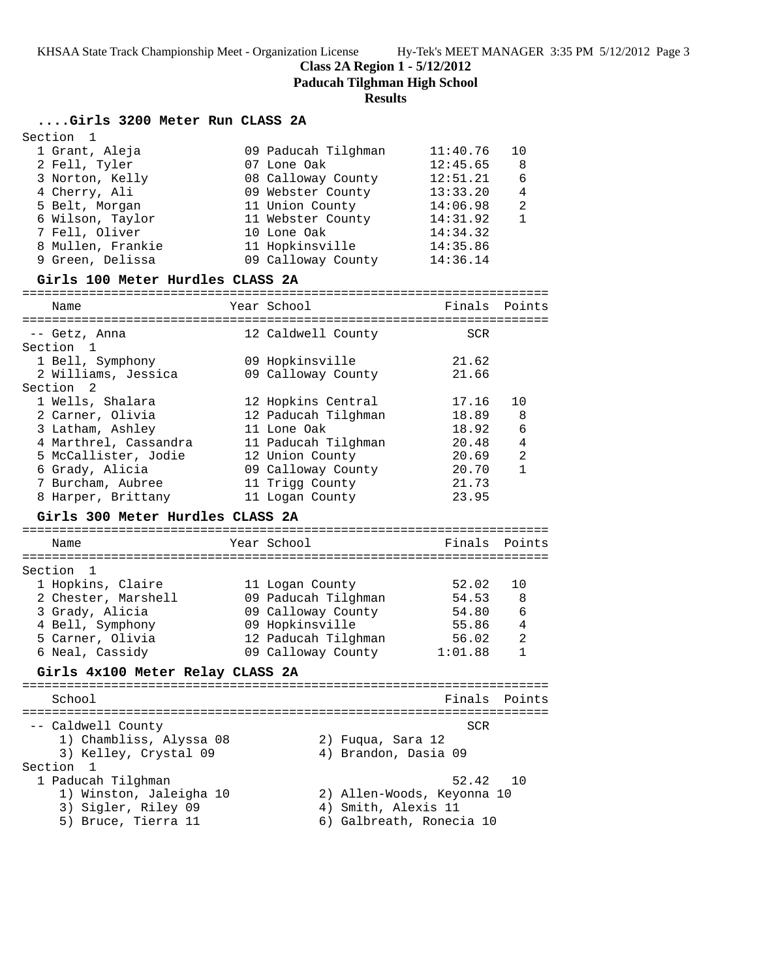**Class 2A Region 1 - 5/12/2012**

**Paducah Tilghman High School**

#### **Results**

## **....Girls 3200 Meter Run CLASS 2A**

| Section 1         |                     |          |                |
|-------------------|---------------------|----------|----------------|
| 1 Grant, Aleja    | 09 Paducah Tilghman | 11:40.76 | 1 N            |
| 2 Fell, Tyler     | 07 Lone Oak         | 12:45.65 | 8              |
| 3 Norton, Kelly   | 08 Calloway County  | 12:51.21 | 6              |
| 4 Cherry, Ali     | 09 Webster County   | 13:33.20 | 4              |
| 5 Belt, Morgan    | 11 Union County     | 14:06.98 | $\mathfrak{D}$ |
| 6 Wilson, Taylor  | 11 Webster County   | 14:31.92 |                |
| 7 Fell, Oliver    | 10 Lone Oak         | 14:34.32 |                |
| 8 Mullen, Frankie | 11 Hopkinsville     | 14:35.86 |                |
| 9 Green, Delissa  | 09 Calloway County  | 14:36.14 |                |
|                   |                     |          |                |

### **Girls 100 Meter Hurdles CLASS 2A**

| Name                  | Year School         | Finals     | Points         |
|-----------------------|---------------------|------------|----------------|
|                       |                     |            |                |
| -- Getz, Anna         | 12 Caldwell County  | <b>SCR</b> |                |
| Section 1             |                     |            |                |
| 1 Bell, Symphony      | 09 Hopkinsville     | 21.62      |                |
| 2 Williams, Jessica   | 09 Calloway County  | 21.66      |                |
| Section 2             |                     |            |                |
| 1 Wells, Shalara      | 12 Hopkins Central  | 17.16      | 10             |
| 2 Carner, Olivia      | 12 Paducah Tilghman | 18.89 8    |                |
| 3 Latham, Ashley      | 11 Lone Oak         | 18.92      | 6              |
| 4 Marthrel, Cassandra | 11 Paducah Tilghman | 20.48      | 4              |
| 5 McCallister, Jodie  | 12 Union County     | 20.69      | $\mathfrak{D}$ |
| 6 Grady, Alicia       | 09 Calloway County  | 20.70      | 1              |
| 7 Burcham, Aubree     | 11 Trigg County     | 21.73      |                |
| 8 Harper, Brittany    | 11 Logan County     | 23.95      |                |

## **Girls 300 Meter Hurdles CLASS 2A**

| Name                | Year School         | Finals Points |     |
|---------------------|---------------------|---------------|-----|
| Section 1           |                     |               |     |
| 1 Hopkins, Claire   | 11 Logan County     | 52.02         | 1 O |
| 2 Chester, Marshell | 09 Paducah Tilghman | 54.53         | 8   |
| 3 Grady, Alicia     | 09 Calloway County  | 54.80         | 6   |
| 4 Bell, Symphony    | 09 Hopkinsville     | 55.86         | 4   |
| 5 Carner, Olivia    | 12 Paducah Tilghman | 56.02         | 2   |
| 6 Neal, Cassidy     | 09 Calloway County  | 1:01.88       |     |

### **Girls 4x100 Meter Relay CLASS 2A**

======================================================================= Finals Points ======================================================================= -- Caldwell County SCR 1) Chambliss, Alyssa 08 2) Fuqua, Sara 12 3) Kelley, Crystal 09 4) Brandon, Dasia 09 Section 1<br>1 Paducah Tilghman 1 Paducah Tilghman 52.42 10 1) Winston, Jaleigha 10 2) Allen-Woods, Keyonna 10 3) Sigler, Riley 09 (4) Smith, Alexis 11 5) Bruce, Tierra 11 6) Galbreath, Ronecia 10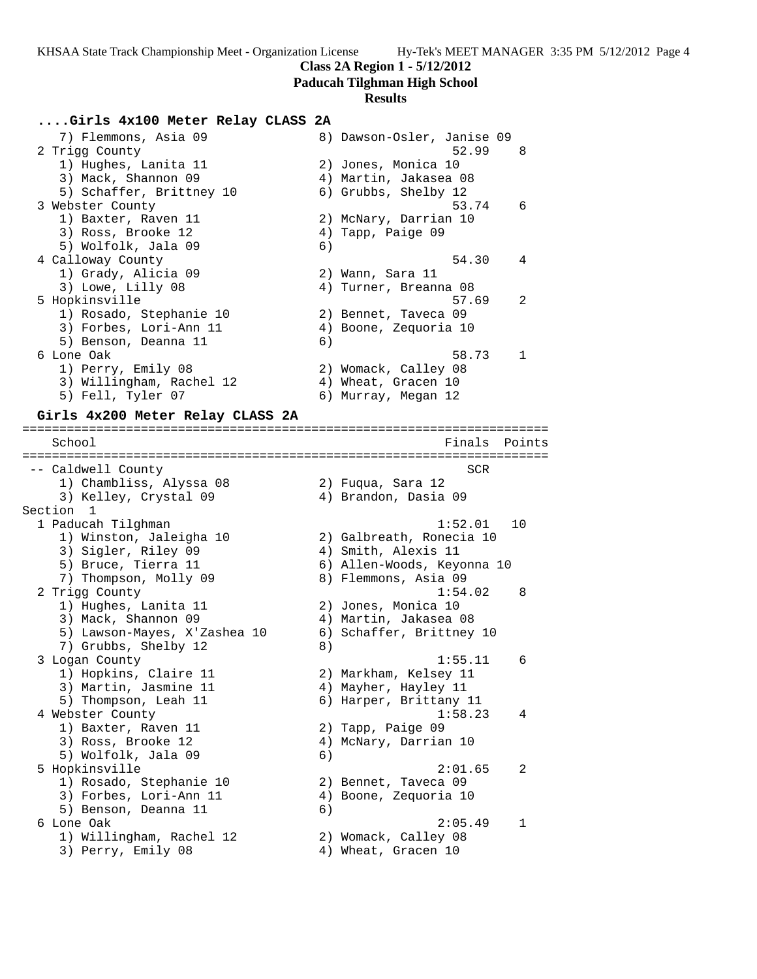## **Class 2A Region 1 - 5/12/2012**

#### **Paducah Tilghman High School**

#### **Results**

## **....Girls 4x100 Meter Relay CLASS 2A**

 7) Flemmons, Asia 09 8) Dawson-Osler, Janise 09 2 Trigg County 52.99 8 1) Hughes, Lanita 11 2) Jones, Monica 10 3) Mack, Shannon 09 4) Martin, Jakasea 08 5) Schaffer, Brittney 10 6) Grubbs, Shelby 12 3 Webster County 53.74 6 1) Baxter, Raven 11 2) McNary, Darrian 10 3) Ross, Brooke 12 (4) Tapp, Paige 09 5) Wolfolk, Jala 09 (6) 4 Calloway County 54.30 4 1) Grady, Alicia 09 2) Wann, Sara 11 3) Lowe, Lilly 08 4) Turner, Breanna 08 5 Hopkinsville 57.69 2 1) Rosado, Stephanie 10 (2) Bennet, Taveca 09 3) Forbes, Lori-Ann 11 4) Boone, Zequoria 10 5) Benson, Deanna 11 (6) 6 Lone Oak 58.73 1 1) Perry, Emily 08 2) Womack, Calley 08 3) Willingham, Rachel 12 (4) Wheat, Gracen 10 5) Fell, Tyler 07 (6) Murray, Megan 12

#### **Girls 4x200 Meter Relay CLASS 2A** =======================================================================

School **Finals** Points ======================================================================= -- Caldwell County SCR 1) Chambliss, Alyssa 08 2) Fuqua, Sara 12 3) Kelley, Crystal 09 4) Brandon, Dasia 09 Section 1 1 Paducah Tilghman 1:52.01 10 1) Winston, Jaleigha 10 2) Galbreath, Ronecia 10 3) Sigler, Riley 09 (4) Smith, Alexis 11 5) Bruce, Tierra 11 6) Allen-Woods, Keyonna 10 7) Thompson, Molly 09  $\,$  8) Flemmons, Asia 09  $\,$  2 Trigg County 1:54.02 8 1) Hughes, Lanita 11 2) Jones, Monica 10 3) Mack, Shannon 09 4) Martin, Jakasea 08 5) Lawson-Mayes, X'Zashea 10 6) Schaffer, Brittney 10 7) Grubbs, Shelby 12 8) 3 Logan County 1:55.11 6 1) Hopkins, Claire 11 2) Markham, Kelsey 11 3) Martin, Jasmine 11  $\hskip10mm 4$ ) Mayher, Hayley 11 5) Thompson, Leah 11 6) Harper, Brittany 11 4 Webster County 1:58.23 4 1) Baxter, Raven 11 2) Tapp, Paige 09 3) Ross, Brooke 12 4) McNary, Darrian 10 5) Wolfolk, Jala 09 (6) 5 Hopkinsville 2:01.65 2 1) Rosado, Stephanie 10 (2) Bennet, Taveca 09 3) Forbes, Lori-Ann 11 4) Boone, Zequoria 10 5) Benson, Deanna 11 (6)<br>6 Lone Oak 6 Lone Oak 2:05.49 1 1) Willingham, Rachel 12 2) Womack, Calley 08 3) Perry, Emily 08 4) Wheat, Gracen 10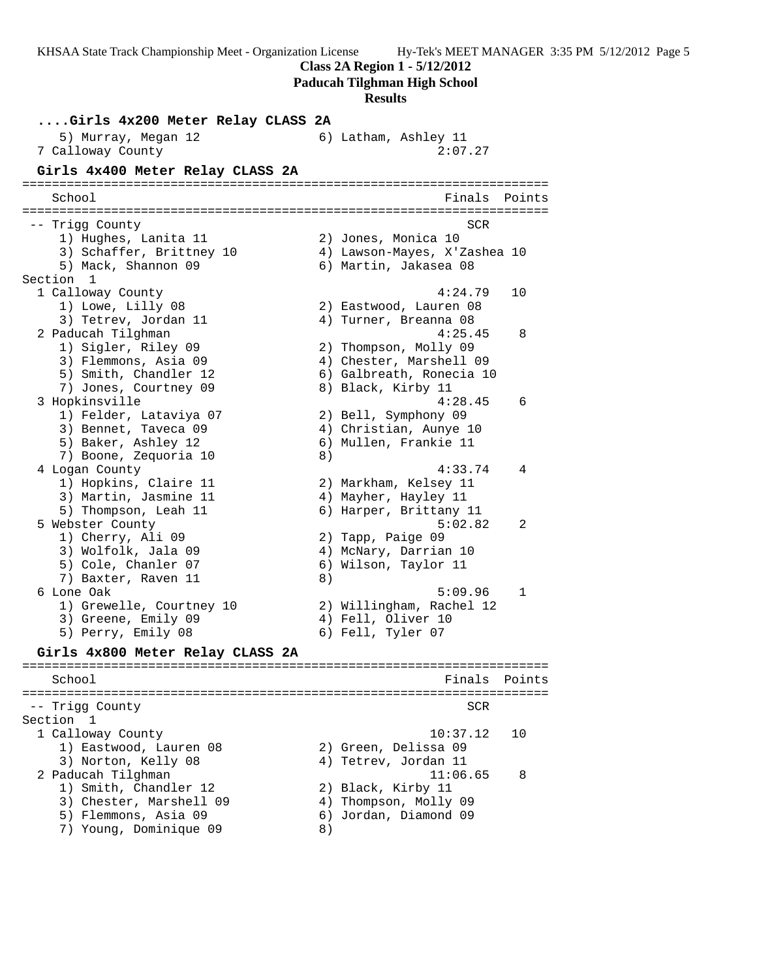KHSAA State Track Championship Meet - Organization License Hy-Tek's MEET MANAGER 3:35 PM 5/12/2012 Page 5 **Class 2A Region 1 - 5/12/2012 Paducah Tilghman High School Results ....Girls 4x200 Meter Relay CLASS 2A** 5) Murray, Megan 12 6) Latham, Ashley 11 7 Calloway County 2:07.27 **Girls 4x400 Meter Relay CLASS 2A** ======================================================================= School **Finals Points** ======================================================================= -- Trigg County SCR 1) Hughes, Lanita 11 2) Jones, Monica 10 3) Schaffer, Brittney 10 4) Lawson-Mayes, X'Zashea 10 5) Mack, Shannon 09 6) Martin, Jakasea 08 Section 1<br>1 Calloway County 1 Calloway County 4:24.79 10 1) Lowe, Lilly 08 2) Eastwood, Lauren 08 3) Tetrev, Jordan 11 4) Turner, Breanna 08 2 Paducah Tilghman 4:25.45 8 1) Sigler, Riley 09 2) Thompson, Molly 09 3) Flemmons, Asia 09 4) Chester, Marshell 09 5) Smith, Chandler 12 (6) Galbreath, Ronecia 10 7) Jones, Courtney 09 8) Black, Kirby 11 3 Hopkinsville 4:28.45 6 1) Felder, Lataviya 07 2) Bell, Symphony 09 3) Bennet, Taveca 09 4) Christian, Aunye 10 5) Baker, Ashley 12 6) Mullen, Frankie 11 7) Boone, Zequoria 10 and 8) 4 Logan County 4:33.74 4 1) Hopkins, Claire 11 2) Markham, Kelsey 11 3) Martin, Jasmine 11 (4) Mayher, Hayley 11 5) Thompson, Leah 11 6) Harper, Brittany 11 5 Webster County 5:02.82 2 1) Cherry, Ali 09 2) Tapp, Paige 09 3) Wolfolk, Jala 09 4) McNary, Darrian 10 5) Cole, Chanler 07 (6) Wilson, Taylor 11 7) Baxter, Raven 11 8) 6 Lone Oak 5:09.96 1 1) Grewelle, Courtney 10 2) Willingham, Rachel 12 3) Greene, Emily 09 (4) Fell, Oliver 10 5) Perry, Emily 08 6) Fell, Tyler 07 **Girls 4x800 Meter Relay CLASS 2A** ======================================================================= School **Finals Points** ======================================================================= -- Trigg County SCR Section 1 1 Calloway County 10:37.12 10 1) Eastwood, Lauren 08 2) Green, Delissa 09 3) Norton, Kelly 08 (4) Tetrev, Jordan 11 2 Paducah Tilghman 11:06.65 8 1) Smith, Chandler 12 2) Black, Kirby 11 3) Chester, Marshell 09 4) Thompson, Molly 09 5) Flemmons, Asia 09 6) Jordan, Diamond 09 7) Young, Dominique 09 8)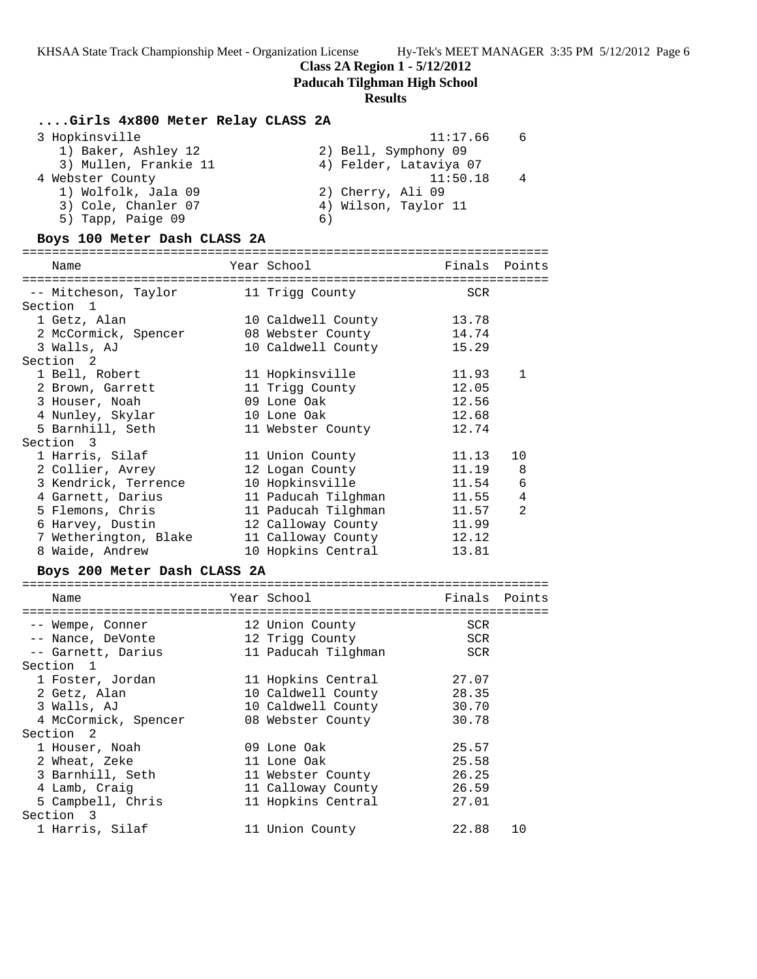## **Class 2A Region 1 - 5/12/2012**

**Paducah Tilghman High School**

## **Results**

## **....Girls 4x800 Meter Relay CLASS 2A**

| 3 Hopkinsville        | 11:17.66<br>- 6        |
|-----------------------|------------------------|
| 1) Baker, Ashley 12   | 2) Bell, Symphony 09   |
| 3) Mullen, Frankie 11 | 4) Felder, Lataviya 07 |
| 4 Webster County      | 11:50.18<br>4          |
| 1) Wolfolk, Jala 09   | 2) Cherry, Ali 09      |
| 3) Cole, Chanler 07   | 4) Wilson, Taylor 11   |
| 5) Tapp, Paige 09     | 6)                     |
|                       |                        |

### **Boys 100 Meter Dash CLASS 2A**

======================================================================= Finals Points

| -- Mitcheson, Taylor 11 Trigg County |                     | <b>SCR</b> |                |
|--------------------------------------|---------------------|------------|----------------|
| Section <sub>1</sub>                 |                     |            |                |
| 1 Getz, Alan                         | 10 Caldwell County  | 13.78      |                |
| 2 McCormick, Spencer                 | 08 Webster County   | 14.74      |                |
| 3 Walls, AJ                          | 10 Caldwell County  | 15.29      |                |
| Section 2                            |                     |            |                |
| 1 Bell, Robert                       | 11 Hopkinsville     | 11.93      | $\mathbf{1}$   |
| 2 Brown, Garrett                     | 11 Trigg County     | 12.05      |                |
| 3 Houser, Noah                       | 09 Lone Oak         | 12.56      |                |
| 4 Nunley, Skylar                     | 10 Lone Oak         | 12.68      |                |
| 5 Barnhill, Seth                     | 11 Webster County   | 12.74      |                |
| Section 3                            |                     |            |                |
| 1 Harris, Silaf                      | 11 Union County     | 11.13      | 10             |
| 2 Collier, Avrey                     | 12 Logan County     | 11.19      | - 8            |
| 3 Kendrick, Terrence                 | 10 Hopkinsville     | 11.54      | 6              |
| 4 Garnett, Darius                    | 11 Paducah Tilghman | 11.55      | $\overline{4}$ |
| 5 Flemons, Chris                     | 11 Paducah Tilqhman | 11.57      | $\mathfrak{D}$ |
| 6 Harvey, Dustin                     | 12 Calloway County  | 11.99      |                |
| 7 Wetherington, Blake                | 11 Calloway County  | 12.12      |                |
| 8 Waide, Andrew                      | 10 Hopkins Central  | 13.81      |                |

## **Boys 200 Meter Dash CLASS 2A**

| Name                 | Year School         | Finals Points |     |
|----------------------|---------------------|---------------|-----|
|                      |                     |               |     |
| -- Wempe, Conner     | 12 Union County     | <b>SCR</b>    |     |
| -- Nance, DeVonte    | 12 Trigg County     | SCR           |     |
| -- Garnett, Darius   | 11 Paducah Tilghman | <b>SCR</b>    |     |
| Section 1            |                     |               |     |
| 1 Foster, Jordan     | 11 Hopkins Central  | 27.07         |     |
| 2 Getz, Alan         | 10 Caldwell County  | 28.35         |     |
| 3 Walls, AJ          | 10 Caldwell County  | 30.70         |     |
| 4 McCormick, Spencer | 08 Webster County   | 30.78         |     |
| Section 2            |                     |               |     |
| 1 Houser, Noah       | 09 Lone Oak         | 25.57         |     |
| 2 Wheat, Zeke        | 11 Lone Oak         | 25.58         |     |
| 3 Barnhill, Seth     | 11 Webster County   | 26.25         |     |
| 4 Lamb, Craig        | 11 Calloway County  | 26.59         |     |
| 5 Campbell, Chris    | 11 Hopkins Central  | 27.01         |     |
| Section 3            |                     |               |     |
| 1 Harris, Silaf      | 11 Union County     | 22.88         | 1 O |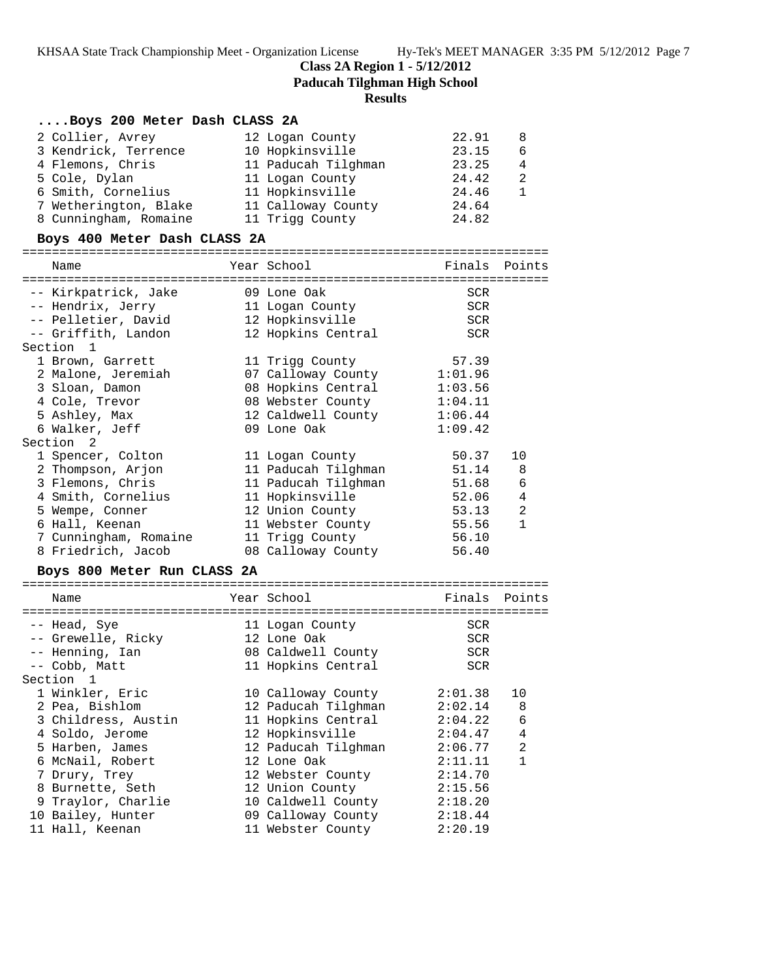**Class 2A Region 1 - 5/12/2012**

**Paducah Tilghman High School**

### **Results**

## **....Boys 200 Meter Dash CLASS 2A**

| 2 Collier, Avrey      | 12 Logan County     | 22.91 | 8 |
|-----------------------|---------------------|-------|---|
| 3 Kendrick, Terrence  | 10 Hopkinsville     | 23.15 | 6 |
| 4 Flemons, Chris      | 11 Paducah Tilghman | 23.25 | 4 |
| 5 Cole, Dylan         | 11 Logan County     | 24.42 | 2 |
| 6 Smith, Cornelius    | 11 Hopkinsville     | 24.46 |   |
| 7 Wetherington, Blake | 11 Calloway County  | 24.64 |   |
| 8 Cunningham, Romaine | 11 Trigg County     | 24.82 |   |

## **Boys 400 Meter Dash CLASS 2A**

## ======================================================================= ---<br>Finals Points

| Name                  | Year School                | Finals  | Points         |
|-----------------------|----------------------------|---------|----------------|
|                       |                            |         |                |
| -- Kirkpatrick, Jake  | 09 Lone Oak                | SCR     |                |
| -- Hendrix, Jerry     | 11 Logan County            | SCR     |                |
| -- Pelletier, David   | 12 Hopkinsville            | SCR     |                |
| -- Griffith, Landon   | 12 Hopkins Central         | SCR     |                |
| Section <sub>1</sub>  |                            |         |                |
| 1 Brown, Garrett      | 11 Trigg County            | 57.39   |                |
| 2 Malone, Jeremiah    | 07 Calloway County 1:01.96 |         |                |
| 3 Sloan, Damon        | 08 Hopkins Central 1:03.56 |         |                |
| 4 Cole, Trevor        | 08 Webster County 1:04.11  |         |                |
| 5 Ashley, Max         | 12 Caldwell County 1:06.44 |         |                |
| 6 Walker, Jeff        | 09 Lone Oak                | 1:09.42 |                |
| Section 2             |                            |         |                |
| 1 Spencer, Colton     | 11 Logan County            | 50.37   | 10             |
| 2 Thompson, Arjon     | 11 Paducah Tilghman        | 51.14 8 |                |
| 3 Flemons, Chris      | 11 Paducah Tilghman        | 51.68   | $\epsilon$     |
| 4 Smith, Cornelius    | 11 Hopkinsville            | 52.06   | $\overline{4}$ |
| 5 Wempe, Conner       | 12 Union County            | 53.13   | 2              |
| 6 Hall, Keenan        | 11 Webster County          | 55.56   | $\mathbf{1}$   |
| 7 Cunningham, Romaine | 11 Trigg County            | 56.10   |                |
| 8 Friedrich, Jacob    | 08 Calloway County         | 56.40   |                |
|                       |                            |         |                |

#### **Boys 800 Meter Run CLASS 2A**

|  | Name                |  | Year School         | Finals     | Points         |
|--|---------------------|--|---------------------|------------|----------------|
|  |                     |  |                     |            |                |
|  | -- Head, Sye        |  | 11 Logan County     | SCR        |                |
|  | -- Grewelle, Ricky  |  | 12 Lone Oak         | <b>SCR</b> |                |
|  | -- Henning, Ian     |  | 08 Caldwell County  | <b>SCR</b> |                |
|  | -- Cobb, Matt       |  | 11 Hopkins Central  | <b>SCR</b> |                |
|  | Section 1           |  |                     |            |                |
|  | 1 Winkler, Eric     |  | 10 Calloway County  | 2:01.38    | 10             |
|  | 2 Pea, Bishlom      |  | 12 Paducah Tilghman | 2:02.14    | 8              |
|  | 3 Childress, Austin |  | 11 Hopkins Central  | 2:04.22    | 6              |
|  | 4 Soldo, Jerome     |  | 12 Hopkinsville     | 2:04.47    | 4              |
|  | 5 Harben, James     |  | 12 Paducah Tilghman | 2:06.77    | $\mathfrak{D}$ |
|  | 6 McNail, Robert    |  | 12 Lone Oak         | 2:11.11    | 1              |
|  | 7 Drury, Trey       |  | 12 Webster County   | 2:14.70    |                |
|  | 8 Burnette, Seth    |  | 12 Union County     | 2:15.56    |                |
|  | 9 Traylor, Charlie  |  | 10 Caldwell County  | 2:18.20    |                |
|  | 10 Bailey, Hunter   |  | 09 Calloway County  | 2:18.44    |                |
|  | 11 Hall, Keenan     |  | 11 Webster County   | 2:20.19    |                |
|  |                     |  |                     |            |                |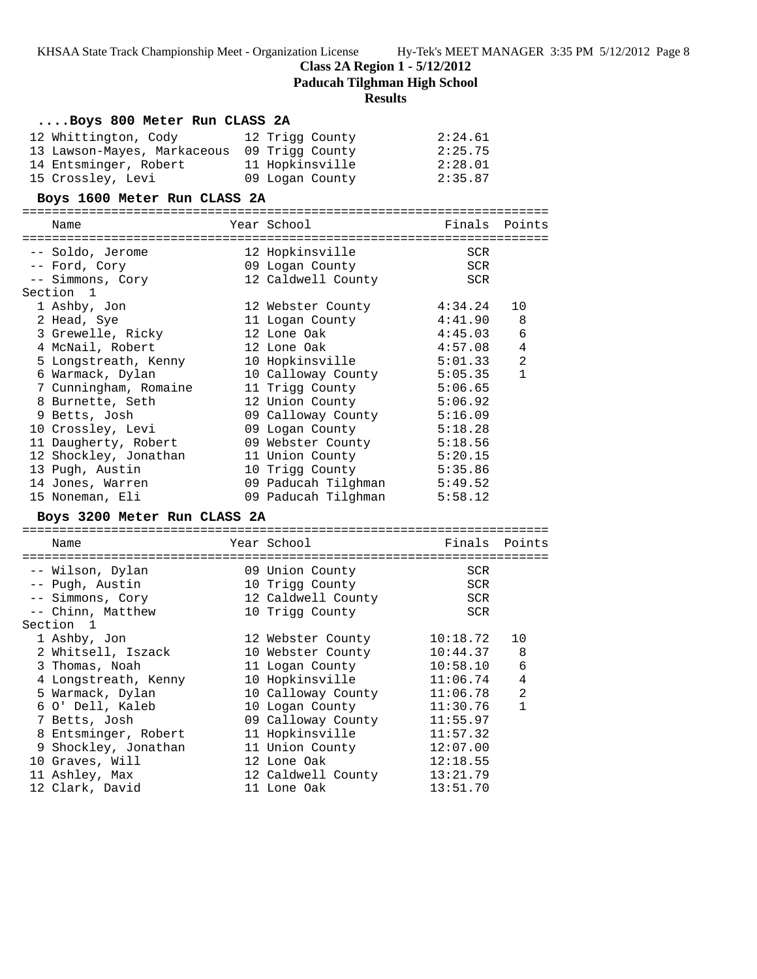**Class 2A Region 1 - 5/12/2012**

**Paducah Tilghman High School**

#### **Results**

| Boys 800 Meter Run CLASS 2A |                                             |  |                             |               |                |
|-----------------------------|---------------------------------------------|--|-----------------------------|---------------|----------------|
|                             | 12 Whittington, Cody                        |  | 12 Trigg County             | 2:24.61       |                |
|                             | 13 Lawson-Mayes, Markaceous 09 Trigg County |  |                             | 2:25.75       |                |
|                             | 14 Entsminger, Robert                       |  | 11 Hopkinsville             | 2:28.01       |                |
|                             | 15 Crossley, Levi                           |  | 09 Logan County             | 2:35.87       |                |
|                             | Boys 1600 Meter Run CLASS 2A                |  |                             |               |                |
|                             | Name                                        |  | Year School                 | Finals Points |                |
|                             | -- Soldo, Jerome                            |  | 12 Hopkinsville             | SCR           |                |
|                             | -- Ford, Cory                               |  | 09 Logan County             | SCR           |                |
|                             | -- Simmons, Cory                            |  | 12 Caldwell County          | SCR           |                |
|                             | Section <sub>1</sub>                        |  |                             |               |                |
|                             | 1 Ashby, Jon                                |  | 12 Webster County           | 4:34.24       | 10             |
|                             | 2 Head, Sye                                 |  | 11 Logan County             | 4:41.90       | 8              |
|                             | 3 Grewelle, Ricky                           |  | 12 Lone Oak                 | 4:45.03       | 6              |
|                             | 4 McNail, Robert                            |  | 12 Lone Oak                 | 4:57.08       | $\overline{4}$ |
|                             | 5 Longstreath, Kenny                        |  | 10 Hopkinsville             | 5:01.33       | $\overline{a}$ |
|                             | 6 Warmack, Dylan                            |  | 10 Calloway County 5:05.35  |               | $\mathbf{1}$   |
|                             | 7 Cunningham, Romaine                       |  | 11 Trigg County             | 5:06.65       |                |
|                             | 8 Burnette, Seth                            |  | 12 Union County 5:06.92     |               |                |
|                             | 9 Betts, Josh                               |  | 09 Calloway County 5:16.09  |               |                |
|                             | 10 Crossley, Levi                           |  | 09 Logan County             | 5:18.28       |                |
|                             | 11 Daugherty, Robert                        |  | 09 Webster County           | 5:18.56       |                |
|                             | 12 Shockley, Jonathan                       |  | 11 Union County 5:20.15     |               |                |
|                             | 13 Pugh, Austin                             |  | 10 Trigg County             | 5:35.86       |                |
|                             | 14 Jones, Warren                            |  | 09 Paducah Tilghman 5:49.52 |               |                |
|                             | 15 Noneman, Eli                             |  | 09 Paducah Tilqhman         | 5:58.12       |                |
|                             | Rove 3200 Mater Pun CLASS 2A                |  |                             |               |                |

#### **Boys 3200 Meter Run CLASS 2A**

======================================================================= Name Year School Finals Points ======================================================================= -- Wilson, Dylan 09 Union County SCR -- Pugh, Austin 10 Trigg County SCR -- Simmons, Cory 12 Caldwell County SCR -- Chinn, Matthew 10 Trigg County SCR Section 1 1 Ashby, Jon 12 Webster County 10:18.72 10 2 Whitsell, Iszack 10 Webster County 10:44.37 8 3 Thomas, Noah 11 Logan County 10:58.10 6 4 Longstreath, Kenny 10 Hopkinsville 11:06.74 4 5 Warmack, Dylan 10 Calloway County 11:06.78 2 6 O' Dell, Kaleb 10 Logan County 11:30.76 1 7 Betts, Josh 09 Calloway County 11:55.97 8 Entsminger, Robert 11 Hopkinsville 11:57.32 9 Shockley, Jonathan 11 Union County 12:07.00 10 Graves, Will 12 Lone Oak 12:18.55 11 Ashley, Max 12 Caldwell County 13:21.79 12 Clark, David 11 Lone Oak 13:51.70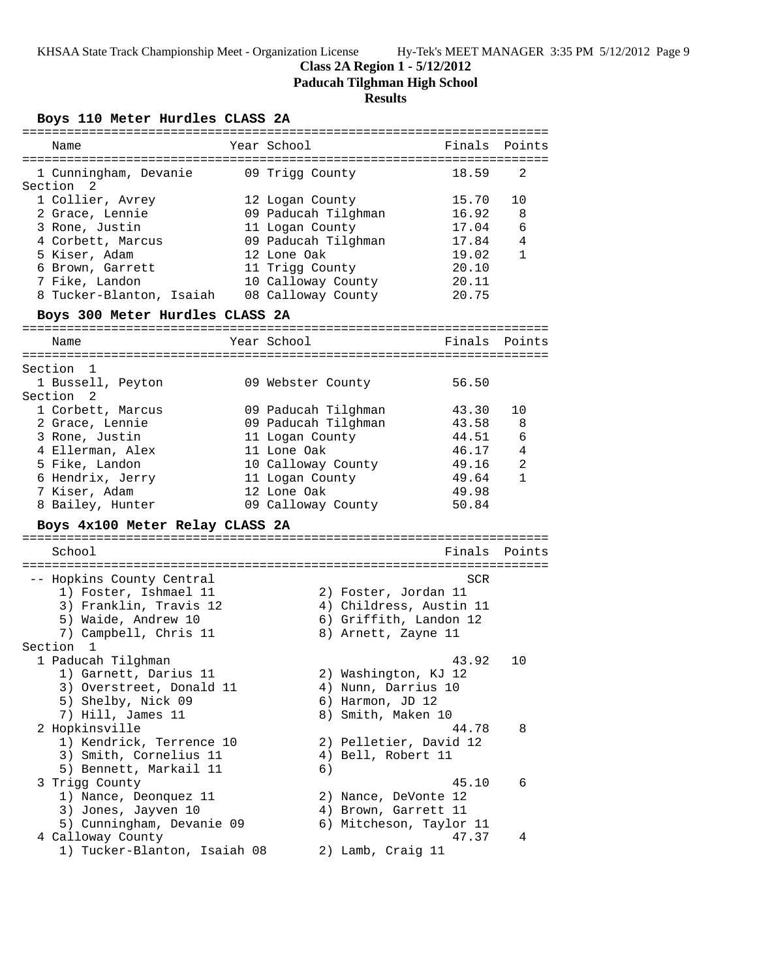# **Class 2A Region 1 - 5/12/2012**

**Paducah Tilghman High School**

# **Results**

# **Boys 110 Meter Hurdles CLASS 2A**

| ===========================               |                         |               |              |
|-------------------------------------------|-------------------------|---------------|--------------|
| Name                                      | Year School             | Finals        | Points       |
|                                           |                         |               |              |
| 1 Cunningham, Devanie<br>Section 2        | 09 Trigg County         | 18.59         | 2            |
| 1 Collier, Avrey                          | 12 Logan County         | 15.70         | 10           |
| 2 Grace, Lennie                           | 09 Paducah Tilghman     | 16.92         | 8            |
| 3 Rone, Justin                            | 11 Logan County         | 17.04         | 6            |
| 4 Corbett, Marcus                         | 09 Paducah Tilghman     | 17.84         | 4            |
| 5 Kiser, Adam                             | 12 Lone Oak             | 19.02         | $\mathbf{1}$ |
| 6 Brown, Garrett                          | 11 Trigg County         | 20.10         |              |
| 7 Fike, Landon                            |                         |               |              |
|                                           | 10 Calloway County      | 20.11         |              |
| 8 Tucker-Blanton, Isaiah                  | 08 Calloway County      | 20.75         |              |
| Boys 300 Meter Hurdles CLASS 2A           |                         |               |              |
| Name                                      | Year School             | Finals Points |              |
|                                           |                         |               |              |
| Section 1                                 |                         |               |              |
| 1 Bussell, Peyton<br>Section <sub>2</sub> | 09 Webster County       | 56.50         |              |
| 1 Corbett, Marcus                         | 09 Paducah Tilghman     | 43.30         | 10           |
| 2 Grace, Lennie                           | 09 Paducah Tilghman     | 43.58         | 8            |
| 3 Rone, Justin                            | 11 Logan County         | 44.51         | 6            |
| 4 Ellerman, Alex                          | 11 Lone Oak             | 46.17         | 4            |
| 5 Fike, Landon                            | 10 Calloway County      | 49.16         | 2            |
| 6 Hendrix, Jerry                          | 11 Logan County         | 49.64         | $\mathbf{1}$ |
| 7 Kiser, Adam                             | 12 Lone Oak             | 49.98         |              |
| 8 Bailey, Hunter                          | 09 Calloway County      | 50.84         |              |
|                                           |                         |               |              |
| Boys 4x100 Meter Relay CLASS 2A           |                         |               |              |
| School                                    |                         | Finals        | Points       |
|                                           |                         |               |              |
| -- Hopkins County Central                 |                         | SCR           |              |
| 1) Foster, Ishmael 11                     | 2) Foster, Jordan 11    |               |              |
| 3) Franklin, Travis 12                    | 4) Childress, Austin 11 |               |              |
| 5) Waide, Andrew 10                       | 6) Griffith, Landon 12  |               |              |
| 7) Campbell, Chris 11                     | 8) Arnett, Zayne 11     |               |              |
| Section 1                                 |                         |               |              |
| 1 Paducah Tilghman                        |                         | 43.92         | 10           |
| 1) Garnett, Darius 11                     | 2) Washington, KJ 12    |               |              |
| 3) Overstreet, Donald 11                  | 4) Nunn, Darrius 10     |               |              |
| 5) Shelby, Nick 09                        | 6) Harmon, JD 12        |               |              |
| 7) Hill, James 11                         | 8) Smith, Maken 10      |               |              |
| 2 Hopkinsville                            |                         | 44.78         | 8            |
| 1) Kendrick, Terrence 10                  | 2) Pelletier, David 12  |               |              |
| 3) Smith, Cornelius 11                    | 4) Bell, Robert 11      |               |              |
| 5) Bennett, Markail 11                    | 6)                      |               |              |
| 3 Trigg County                            |                         | 45.10         | 6            |
| 1) Nance, Deonquez 11                     | 2) Nance, DeVonte 12    |               |              |
| 3) Jones, Jayven 10                       | 4) Brown, Garrett 11    |               |              |
| 5) Cunningham, Devanie 09                 | 6) Mitcheson, Taylor 11 |               |              |
| 4 Calloway County                         |                         | 47.37         | 4            |
| 1) Tucker-Blanton, Isaiah 08              | 2) Lamb, Craig 11       |               |              |
|                                           |                         |               |              |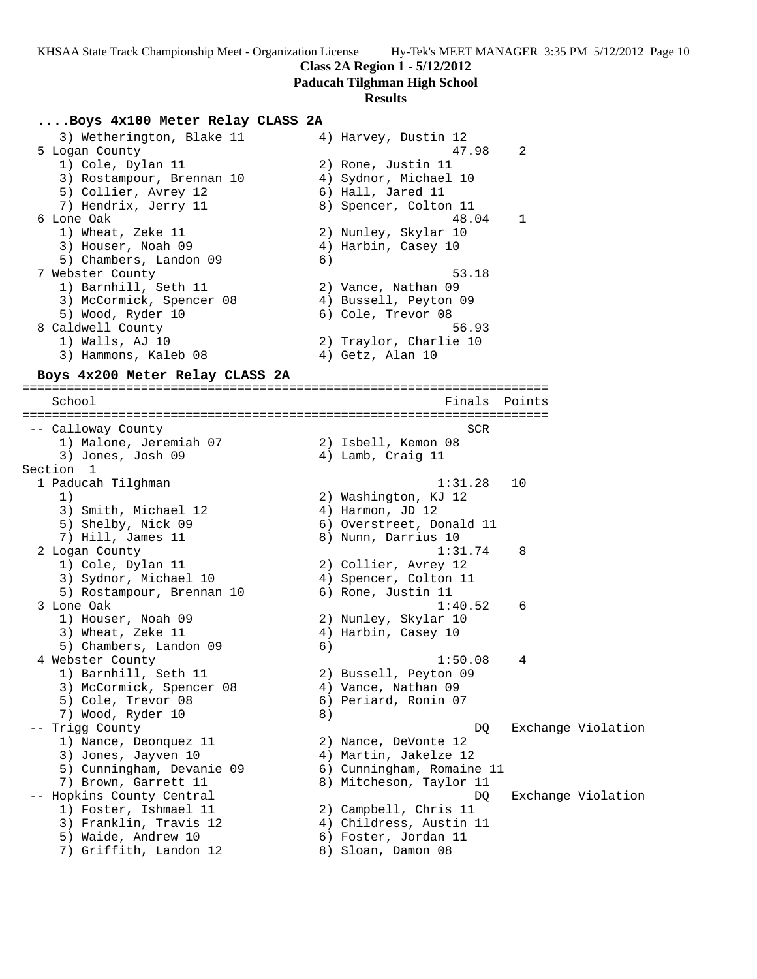**Class 2A Region 1 - 5/12/2012**

### **Paducah Tilghman High School**

### **Results**

## **....Boys 4x100 Meter Relay CLASS 2A**

| 4) Harvey, Dustin 12   |
|------------------------|
| 47.98<br>2             |
| 2) Rone, Justin 11     |
| 4) Sydnor, Michael 10  |
| 6) Hall, Jared 11      |
| 8) Spencer, Colton 11  |
| 48.04<br>$\mathbf{1}$  |
| 2) Nunley, Skylar 10   |
| 4) Harbin, Casey 10    |
| 6)                     |
| 53.18                  |
| 2) Vance, Nathan 09    |
| 4) Bussell, Peyton 09  |
| 6) Cole, Trevor 08     |
| 56.93                  |
| 2) Traylor, Charlie 10 |
| 4) Getz, Alan 10       |
|                        |

=======================================================================

#### **Boys 4x200 Meter Relay CLASS 2A**

School **Finals Points** ======================================================================= -- Calloway County SCR 1) Malone, Jeremiah 07 2) Isbell, Kemon 08 3) Jones, Josh 09 (4) Lamb, Craig 11 Section 1<br>1 Paducah Tilghman 1 Paducah Tilghman 1:31.28 10 1) 2) Washington, KJ 12 3) Smith, Michael 12 (4) Harmon, JD 12 5) Shelby, Nick 09 6) Overstreet, Donald 11 7) Hill, James 11 8) Nunn, Darrius 10 2 Logan County 1:31.74 8 1) Cole, Dylan 11 2) Collier, Avrey 12 3) Sydnor, Michael 10 4) Spencer, Colton 11 5) Rostampour, Brennan 10 (6) Rone, Justin 11 3 Lone Oak 1:40.52 6 1) Houser, Noah 09 2) Nunley, Skylar 10 3) Wheat, Zeke 11 4) Harbin, Casey 10 5) Chambers, Landon 09 6) 4 Webster County 1:50.08 4 1) Barnhill, Seth 11 2) Bussell, Peyton 09 3) McCormick, Spencer 08 4) Vance, Nathan 09 5) Cole, Trevor 08 6) Periard, Ronin 07 7) Wood, Ryder 10 8) -- Trigg County  $DQ$  Exchange Violation 1) Nance, Deonquez 11 (2) Nance, DeVonte 12 3) Jones, Jayven 10 4) Martin, Jakelze 12 5) Cunningham, Devanie 09 6) Cunningham, Romaine 11 7) Brown, Garrett 11 8) Mitcheson, Taylor 11 -- Hopkins County Central **DO** Exchange Violation 1) Foster, Ishmael 11 2) Campbell, Chris 11 3) Franklin, Travis 12 4) Childress, Austin 11 5) Waide, Andrew 10 (6) Foster, Jordan 11 7) Griffith, Landon 12 and 8) Sloan, Damon 08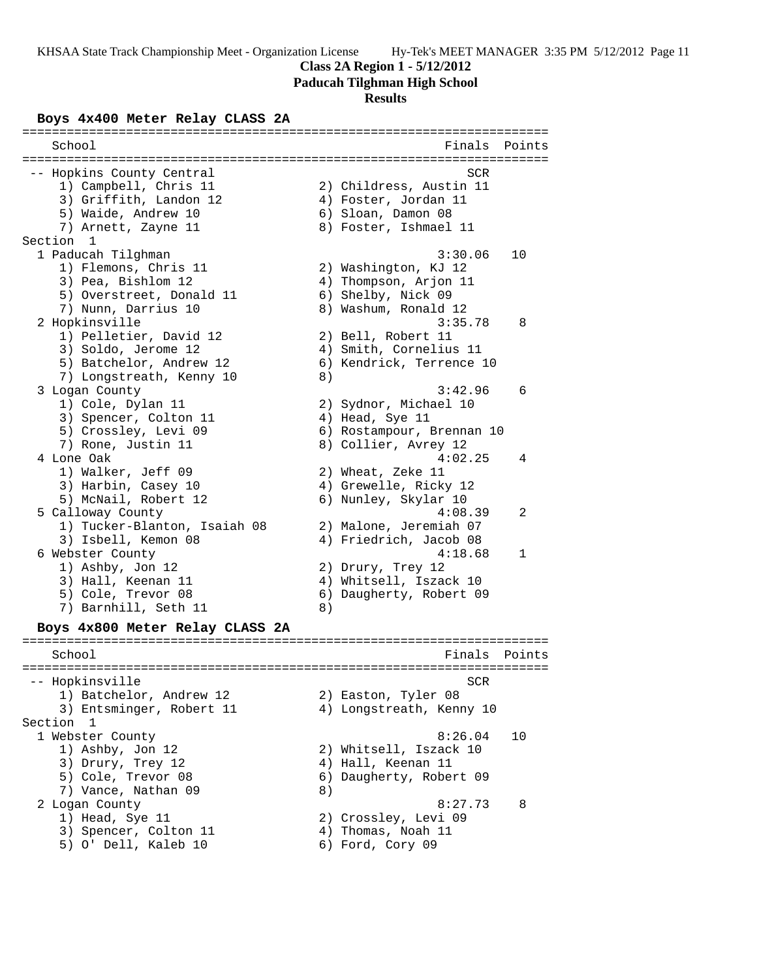#### **Class 2A Region 1 - 5/12/2012**

**Paducah Tilghman High School**

#### **Results**

#### **Boys 4x400 Meter Relay CLASS 2A**

======================================================================= School **Finals** Points ======================================================================= -- Hopkins County Central SCR (Section 1997) 32 SCR 1) Campbell, Chris 11 2) Childress, Austin 11 3) Griffith, Landon 12 (4) Foster, Jordan 11 5) Waide, Andrew 10 6) Sloan, Damon 08 7) Arnett, Zayne 11 8) Foster, Ishmael 11 Section 1 1 Paducah Tilghman 3:30.06 10 1) Flemons, Chris 11 2) Washington, KJ 12 3) Pea, Bishlom 12 4) Thompson, Arjon 11 5) Overstreet, Donald 11 6) Shelby, Nick 09 7) Nunn, Darrius 10 8) Washum, Ronald 12 2 Hopkinsville 3:35.78 8 1) Pelletier, David 12 2) Bell, Robert 11 3) Soldo, Jerome 12 4) Smith, Cornelius 11 5) Batchelor, Andrew 12 6) Kendrick, Terrence 10 7) Longstreath, Kenny 10 8) 3 Logan County 3:42.96 6 1) Cole, Dylan 11 2) Sydnor, Michael 10 3) Spencer, Colton 11 (4) Head, Sye 11 5) Crossley, Levi 09 6) Rostampour, Brennan 10 7) Rone, Justin 11 and 8) Collier, Avrey 12 4 Lone Oak 4:02.25 4 1) Walker, Jeff 09 2) Wheat, Zeke 11 3) Harbin, Casey 10 4) Grewelle, Ricky 12 5) McNail, Robert 12 (6) Nunley, Skylar 10 5 Calloway County 4:08.39 2 1) Tucker-Blanton, Isaiah 08 2) Malone, Jeremiah 07 3) Isbell, Kemon 08 4) Friedrich, Jacob 08 6 Webster County 4:18.68 1 1) Ashby, Jon 12 2) Drury, Trey 12 3) Hall, Keenan 11 4) Whitsell, Iszack 10 5) Cole, Trevor 08 6) Daugherty, Robert 09 7) Barnhill, Seth 11 (8) **Boys 4x800 Meter Relay CLASS 2A** ======================================================================= School **Finals Points** ======================================================================= -- Hopkinsville SCR 1) Batchelor, Andrew 12 30 Easton, Tyler 08 3) Entsminger, Robert 11 4) Longstreath, Kenny 10 Section 1<br>1 Webster County 1 Webster County 8:26.04 10 1) Ashby, Jon 12 2) Whitsell, Iszack 10 3) Drury, Trey 12 (4) Hall, Keenan 11 5) Cole, Trevor 08 6) Daugherty, Robert 09 7) Vance, Nathan 09 8) 2 Logan County 8:27.73 8 1) Head, Sye 11 2) Crossley, Levi 09 3) Spencer, Colton 11 4) Thomas, Noah 11 5) O' Dell, Kaleb 10 6) Ford, Cory 09